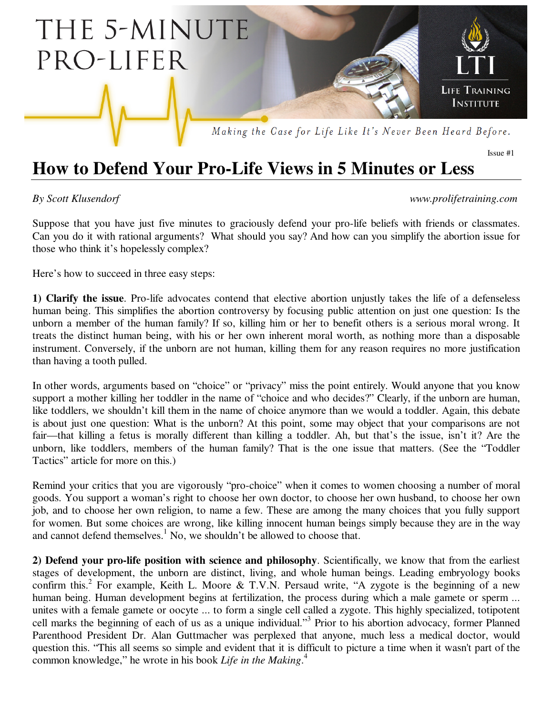

## **How to Defend Your Pro-Life Views in 5 Minutes or Less**

*By Scott Klusendorf www.prolifetraining.com* 

Issue #1

Suppose that you have just five minutes to graciously defend your pro-life beliefs with friends or classmates. Can you do it with rational arguments? What should you say? And how can you simplify the abortion issue for those who think it's hopelessly complex?

Here's how to succeed in three easy steps:

**1) Clarify the issue**. Pro-life advocates contend that elective abortion unjustly takes the life of a defenseless human being. This simplifies the abortion controversy by focusing public attention on just one question: Is the unborn a member of the human family? If so, killing him or her to benefit others is a serious moral wrong. It treats the distinct human being, with his or her own inherent moral worth, as nothing more than a disposable instrument. Conversely, if the unborn are not human, killing them for any reason requires no more justification than having a tooth pulled.

In other words, arguments based on "choice" or "privacy" miss the point entirely. Would anyone that you know support a mother killing her toddler in the name of "choice and who decides?" Clearly, if the unborn are human, like toddlers, we shouldn't kill them in the name of choice anymore than we would a toddler. Again, this debate is about just one question: What is the unborn? At this point, some may object that your comparisons are not fair—that killing a fetus is morally different than killing a toddler. Ah, but that's the issue, isn't it? Are the unborn, like toddlers, members of the human family? That is the one issue that matters. (See the "Toddler Tactics" article for more on this.)

Remind your critics that you are vigorously "pro-choice" when it comes to women choosing a number of moral goods. You support a woman's right to choose her own doctor, to choose her own husband, to choose her own job, and to choose her own religion, to name a few. These are among the many choices that you fully support for women. But some choices are wrong, like killing innocent human beings simply because they are in the way and cannot defend themselves.<sup>1</sup> No, we shouldn't be allowed to choose that.

**2) Defend your pro-life position with science and philosophy**. Scientifically, we know that from the earliest stages of development, the unborn are distinct, living, and whole human beings. Leading embryology books confirm this.<sup>2</sup> For example, Keith L. Moore & T.V.N. Persaud write, "A zygote is the beginning of a new human being. Human development begins at fertilization, the process during which a male gamete or sperm ... unites with a female gamete or oocyte ... to form a single cell called a zygote. This highly specialized, totipotent cell marks the beginning of each of us as a unique individual."<sup>3</sup> Prior to his abortion advocacy, former Planned Parenthood President Dr. Alan Guttmacher was perplexed that anyone, much less a medical doctor, would question this. "This all seems so simple and evident that it is difficult to picture a time when it wasn't part of the common knowledge," he wrote in his book *Life in the Making*. 4